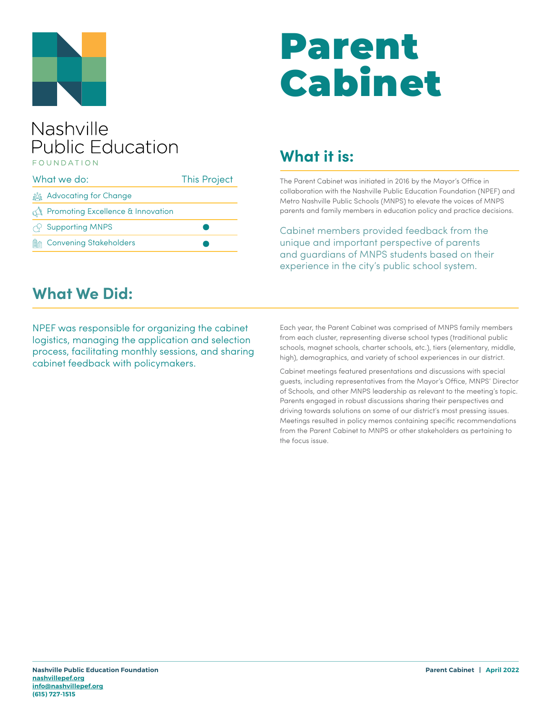

# Parent Cabinet

#### Nashville **Public Education** FOUNDATION

| What we do: |                                       | <b>This Project</b> |
|-------------|---------------------------------------|---------------------|
|             | <u>క్రిక్కి</u> Advocating for Change |                     |
|             | Promoting Excellence & Innovation     |                     |
|             | $\curvearrowright$ Supporting MNPS    |                     |
|             | <b>A</b> Convening Stakeholders       |                     |

## **What it is:**

The Parent Cabinet was initiated in 2016 by the Mayor's Office in collaboration with the Nashville Public Education Foundation (NPEF) and Metro Nashville Public Schools (MNPS) to elevate the voices of MNPS parents and family members in education policy and practice decisions.

Cabinet members provided feedback from the unique and important perspective of parents and guardians of MNPS students based on their experience in the city's public school system.

#### **What We Did:**

NPEF was responsible for organizing the cabinet logistics, managing the application and selection process, facilitating monthly sessions, and sharing cabinet feedback with policymakers.

Each year, the Parent Cabinet was comprised of MNPS family members from each cluster, representing diverse school types (traditional public schools, magnet schools, charter schools, etc.), tiers (elementary, middle, high), demographics, and variety of school experiences in our district.

Cabinet meetings featured presentations and discussions with special guests, including representatives from the Mayor's Office, MNPS' Director of Schools, and other MNPS leadership as relevant to the meeting's topic. Parents engaged in robust discussions sharing their perspectives and driving towards solutions on some of our district's most pressing issues. Meetings resulted in policy memos containing specific recommendations from the Parent Cabinet to MNPS or other stakeholders as pertaining to the focus issue.